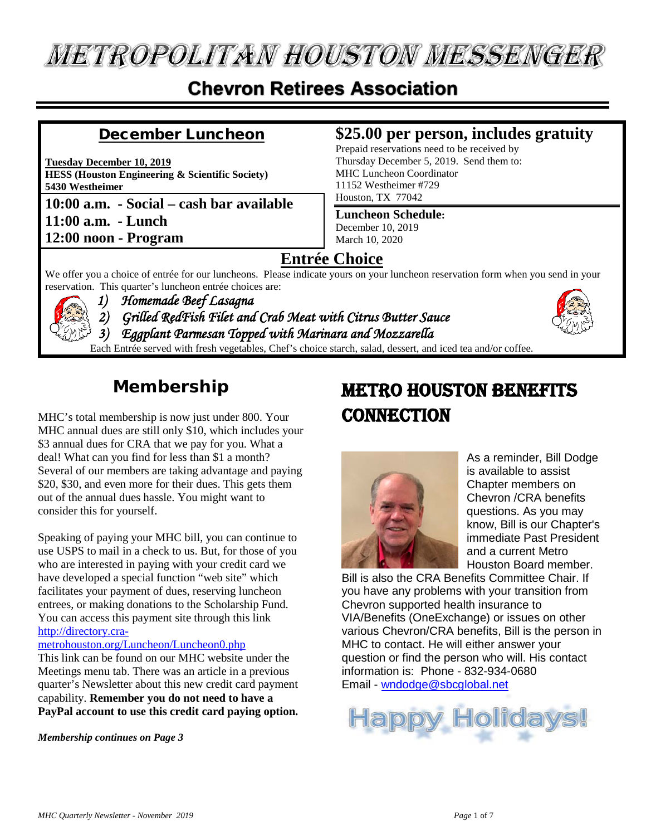# **METROPOLITAN HOUSTON MESSENGER**

## **Chevron Retirees Association**

## December Luncheon

**Tuesday December 10, 2019 HESS (Houston Engineering & Scientific Society) 5430 Westheimer**

**10:00 a.m. - Social – cash bar available 11:00 a.m. - Lunch 12:00 noon - Program**

## **\$25.00 per person, includes gratuity**

Prepaid reservations need to be received by Thursday December 5, 2019. Send them to: MHC Luncheon Coordinator 11152 Westheimer #729 Houston, TX 77042

## **Luncheon Schedule:**

December 10, 2019 March 10, 2020

## **Entrée Choice**

We offer you a choice of entrée for our luncheons. Please indicate yours on your luncheon reservation form when you send in your reservation. This quarter's luncheon entrée choices are:



*1) Homemade Beef Lasagna 2) Grilled RedFish Filet and Crab Meat with Citrus Butter Sauce 3) Eggplant Parmesan Topped with Marinara and Mozzarella* Each Entrée served with fresh vegetables, Chef's choice starch, salad, dessert, and iced tea and/or coffee.



## **Membership**

MHC's total membership is now just under 800. Your MHC annual dues are still only \$10, which includes your \$3 annual dues for CRA that we pay for you. What a deal! What can you find for less than \$1 a month? Several of our members are taking advantage and paying \$20, \$30, and even more for their dues. This gets them out of the annual dues hassle. You might want to consider this for yourself.

Speaking of paying your MHC bill, you can continue to use USPS to mail in a check to us. But, for those of you who are interested in paying with your credit card we have developed a special function "web site" which facilitates your payment of dues, reserving luncheon entrees, or making donations to the Scholarship Fund. You can access this payment site through this link [http://directory.cra-](http://directory.cra-metrohouston.org/Luncheon/Luncheon0.php)

## [metrohouston.org/Luncheon/Luncheon0.php](http://directory.cra-metrohouston.org/Luncheon/Luncheon0.php)

This link can be found on our MHC website under the Meetings menu tab. There was an article in a previous quarter's Newsletter about this new credit card payment capability. **Remember you do not need to have a PayPal account to use this credit card paying option.**

*Membership continues on Page 3*

# Metro Houston Benefits **CONNECTION**



As a reminder, Bill Dodge is available to assist Chapter members on Chevron /CRA benefits questions. As you may know, Bill is our Chapter's immediate Past President and a current Metro Houston Board member.

Bill is also the CRA Benefits Committee Chair. If you have any problems with your transition from Chevron supported health insurance to VIA/Benefits (OneExchange) or issues on other various Chevron/CRA benefits, Bill is the person in MHC to contact. He will either answer your question or find the person who will. His contact information is: Phone - 832-934-0680 Email - [wndodge@sbcglobal.net](mailto:wndodge@sbcglobal.net)

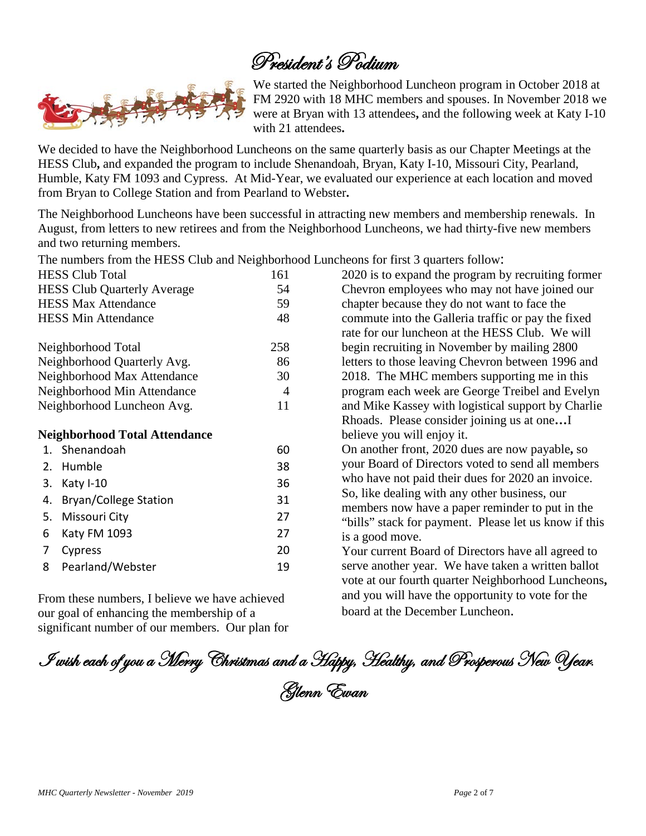# President's Podium



We started the Neighborhood Luncheon program in October 2018 at FM 2920 with 18 MHC members and spouses. In November 2018 we were at Bryan with 13 attendees**,** and the following week at Katy I-10 with 21 attendees**.**

We decided to have the Neighborhood Luncheons on the same quarterly basis as our Chapter Meetings at the HESS Club**,** and expanded the program to include Shenandoah, Bryan, Katy I-10, Missouri City, Pearland, Humble, Katy FM 1093 and Cypress. At Mid-Year, we evaluated our experience at each location and moved from Bryan to College Station and from Pearland to Webster**.**

The Neighborhood Luncheons have been successful in attracting new members and membership renewals. In August, from letters to new retirees and from the Neighborhood Luncheons, we had thirty-five new members and two returning members.

The numbers from the HESS Club and Neighborhood Luncheons for first 3 quarters follow:

| <b>HESS Club Total</b>               | 161 | 2020 is to expand the program by recruiting former                                                                                                                                                                                                                                                                                 |
|--------------------------------------|-----|------------------------------------------------------------------------------------------------------------------------------------------------------------------------------------------------------------------------------------------------------------------------------------------------------------------------------------|
| <b>HESS Club Quarterly Average</b>   | 54  | Chevron employees who may not have joined our                                                                                                                                                                                                                                                                                      |
| <b>HESS Max Attendance</b>           | 59  | chapter because they do not want to face the                                                                                                                                                                                                                                                                                       |
| <b>HESS Min Attendance</b>           | 48  | commute into the Galleria traffic or pay the fixed<br>rate for our luncheon at the HESS Club. We will                                                                                                                                                                                                                              |
| Neighborhood Total                   | 258 | begin recruiting in November by mailing 2800                                                                                                                                                                                                                                                                                       |
| Neighborhood Quarterly Avg.          | 86  | letters to those leaving Chevron between 1996 and                                                                                                                                                                                                                                                                                  |
| Neighborhood Max Attendance          | 30  | 2018. The MHC members supporting me in this                                                                                                                                                                                                                                                                                        |
| Neighborhood Min Attendance          | 4   | program each week are George Treibel and Evelyn                                                                                                                                                                                                                                                                                    |
| Neighborhood Luncheon Avg.           | 11  | and Mike Kassey with logistical support by Charlie                                                                                                                                                                                                                                                                                 |
|                                      |     | Rhoads. Please consider joining us at oneI                                                                                                                                                                                                                                                                                         |
| <b>Neighborhood Total Attendance</b> |     | believe you will enjoy it.                                                                                                                                                                                                                                                                                                         |
| 1. Shenandoah                        | 60  | On another front, 2020 dues are now payable, so                                                                                                                                                                                                                                                                                    |
| 2. Humble                            | 38  | your Board of Directors voted to send all members                                                                                                                                                                                                                                                                                  |
| Katy I-10<br>3.                      | 36  | who have not paid their dues for 2020 an invoice.                                                                                                                                                                                                                                                                                  |
| <b>Bryan/College Station</b><br>4.   | 31  | So, like dealing with any other business, our                                                                                                                                                                                                                                                                                      |
| Missouri City<br>5.                  | 27  | members now have a paper reminder to put in the                                                                                                                                                                                                                                                                                    |
| Katy FM 1093<br>6                    | 27  | "bills" stack for payment. Please let us know if this                                                                                                                                                                                                                                                                              |
|                                      |     | is a good move.                                                                                                                                                                                                                                                                                                                    |
| 7<br>Cypress                         | 20  | Your current Board of Directors have all agreed to                                                                                                                                                                                                                                                                                 |
| Pearland/Webster<br>8                | 19  | serve another year. We have taken a written ballot<br>vote at our fourth quarter Neighborhood Luncheons                                                                                                                                                                                                                            |
|                                      |     | $\mathbf{1}$ $\mathbf{1}$ $\mathbf{1}$ $\mathbf{1}$ $\mathbf{1}$ $\mathbf{1}$ $\mathbf{1}$ $\mathbf{1}$ $\mathbf{1}$ $\mathbf{1}$ $\mathbf{1}$ $\mathbf{1}$ $\mathbf{1}$ $\mathbf{1}$ $\mathbf{1}$ $\mathbf{1}$ $\mathbf{1}$ $\mathbf{1}$ $\mathbf{1}$ $\mathbf{1}$ $\mathbf{1}$ $\mathbf{1}$ $\mathbf{1}$ $\mathbf{1}$ $\mathbf{$ |

From these numbers, I believe we have achieved our goal of enhancing the membership of a significant number of our members. Our plan for

serve another year. We have taken a written ballot cheons. and you will have the opportunity to vote for the board at the December Luncheon.

I wish each of you a Merry Christmas and a Happy, Healthy, and Prosperous New Year. Glenn Ewan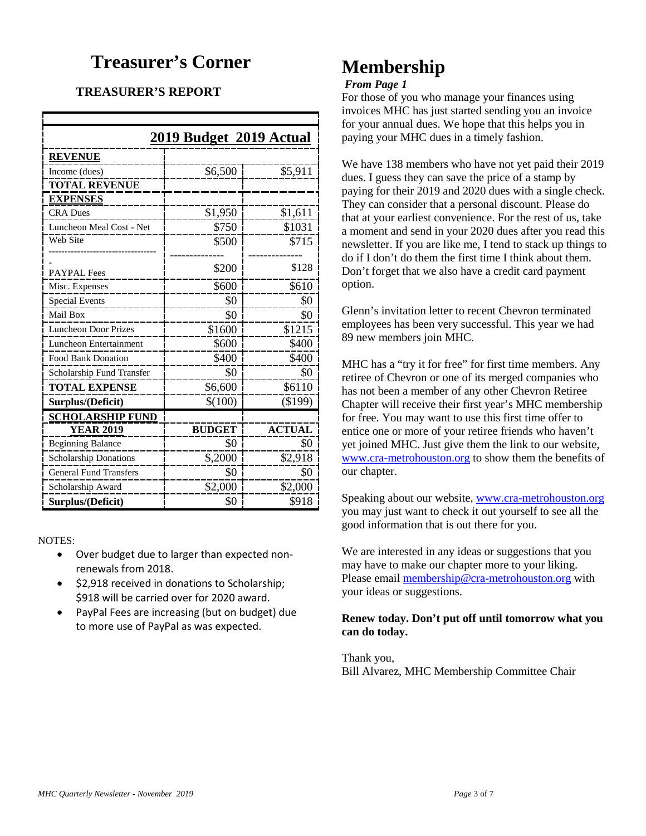## **Treasurer's Corner**

## **TREASURER'S REPORT**

| 2019 Budget 2019 Actual       |               |               |  |  |  |  |
|-------------------------------|---------------|---------------|--|--|--|--|
| <b>REVENUE</b>                |               |               |  |  |  |  |
| Income (dues)                 | \$6,500       | \$5,911       |  |  |  |  |
| <b>TOTAL REVENUE</b>          |               |               |  |  |  |  |
| <b>EXPENSES</b>               |               |               |  |  |  |  |
| <b>CRA Dues</b>               | \$1,950       | \$1,611       |  |  |  |  |
| Luncheon Meal Cost - Net      | \$750         | \$1031        |  |  |  |  |
| Web Site                      | \$500         | \$715         |  |  |  |  |
|                               |               |               |  |  |  |  |
| <b>PAYPAL Fees</b>            | \$200         | \$128         |  |  |  |  |
| Misc. Expenses                | \$600         | \$610         |  |  |  |  |
| <b>Special Events</b>         | \$0           | \$0           |  |  |  |  |
| Mail Box                      | \$0           | \$0           |  |  |  |  |
| <b>Luncheon Door Prizes</b>   | \$1600        | \$1215        |  |  |  |  |
| Luncheon Entertainment        | \$600         | \$400         |  |  |  |  |
| <b>Food Bank Donation</b>     | \$400         | \$400         |  |  |  |  |
| Scholarship Fund Transfer     | \$0           | \$0           |  |  |  |  |
| <b>TOTAL EXPENSE</b>          | \$6,600       | \$6110        |  |  |  |  |
| Surplus/(Deficit)             | \$(100)       | (\$199)       |  |  |  |  |
| <b>SCHOLARSHIP FUND</b>       |               |               |  |  |  |  |
| <b>YEAR 2019</b>              | <b>BUDGET</b> | <b>ACTUAL</b> |  |  |  |  |
| <b>Beginning Balance</b>      | \$0           | \$0           |  |  |  |  |
| Scholarship Donations         | \$,2000       | \$2,918       |  |  |  |  |
| <b>General Fund Transfers</b> | \$0           | \$0           |  |  |  |  |
| Scholarship Award             | \$2,000       | \$2,000       |  |  |  |  |
| Surplus/(Deficit)             | \$0           | \$918         |  |  |  |  |

NOTES:

- Over budget due to larger than expected nonrenewals from 2018.
- \$2,918 received in donations to Scholarship; \$918 will be carried over for 2020 award.
- PayPal Fees are increasing (but on budget) due to more use of PayPal as was expected.

# **Membership**

### *From Page 1*

For those of you who manage your finances using invoices MHC has just started sending you an invoice for your annual dues. We hope that this helps you in paying your MHC dues in a timely fashion.

We have 138 members who have not yet paid their 2019 dues. I guess they can save the price of a stamp by paying for their 2019 and 2020 dues with a single check. They can consider that a personal discount. Please do that at your earliest convenience. For the rest of us, take a moment and send in your 2020 dues after you read this newsletter. If you are like me, I tend to stack up things to do if I don't do them the first time I think about them. Don't forget that we also have a credit card payment option.

Glenn's invitation letter to recent Chevron terminated employees has been very successful. This year we had 89 new members join MHC.

MHC has a "try it for free" for first time members. Any retiree of Chevron or one of its merged companies who has not been a member of any other Chevron Retiree Chapter will receive their first year's MHC membership for free. You may want to use this first time offer to entice one or more of your retiree friends who haven't yet joined MHC. Just give them the link to our website, [www.cra-metrohouston.org](http://www.cra-metrohouston.org/) to show them the benefits of our chapter.

Speaking about our website, [www.cra-metrohouston.org](http://www.cra-metrohouston.org/) you may just want to check it out yourself to see all the good information that is out there for you.

We are interested in any ideas or suggestions that you may have to make our chapter more to your liking. Please email [membership@cra-metrohouston.org](mailto:membership@cra-metrohouston.org) with your ideas or suggestions.

## **Renew today. Don't put off until tomorrow what you can do today.**

Thank you, Bill Alvarez, MHC Membership Committee Chair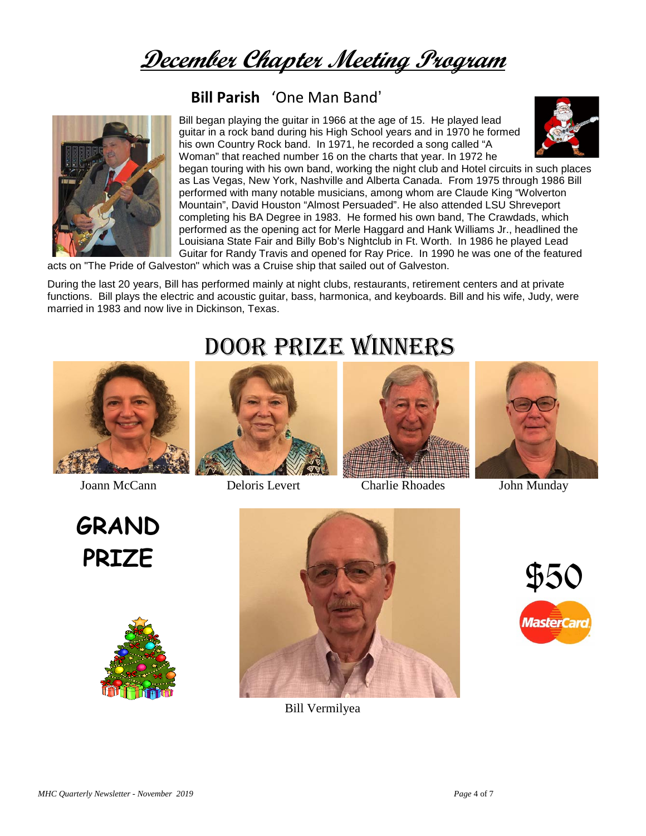**December Chapter Meeting Program**

## **Bill Parish** 'One Man Band'



Bill began playing the guitar in 1966 at the age of 15. He played lead guitar in a rock band during his High School years and in 1970 he formed his own Country Rock band. In 1971, he recorded a song called "A Woman" that reached number 16 on the charts that year. In 1972 he



began touring with his own band, working the night club and Hotel circuits in such places as Las Vegas, New York, Nashville and Alberta Canada. From 1975 through 1986 Bill performed with many notable musicians, among whom are Claude King "Wolverton Mountain", David Houston "Almost Persuaded". He also attended LSU Shreveport completing his BA Degree in 1983. He formed his own band, The Crawdads, which performed as the opening act for Merle Haggard and Hank Williams Jr., headlined the Louisiana State Fair and Billy Bob's Nightclub in Ft. Worth. In 1986 he played Lead Guitar for Randy Travis and opened for Ray Price. In 1990 he was one of the featured

acts on "The Pride of Galveston" which was a Cruise ship that sailed out of Galveston.

During the last 20 years, Bill has performed mainly at night clubs, restaurants, retirement centers and at private functions. Bill plays the electric and acoustic guitar, bass, harmonica, and keyboards. Bill and his wife, Judy, were married in 1983 and now live in Dickinson, Texas.



**GRAND**







Joann McCann Deloris Levert Charlie Rhoades John Munday





Bill Vermilyea

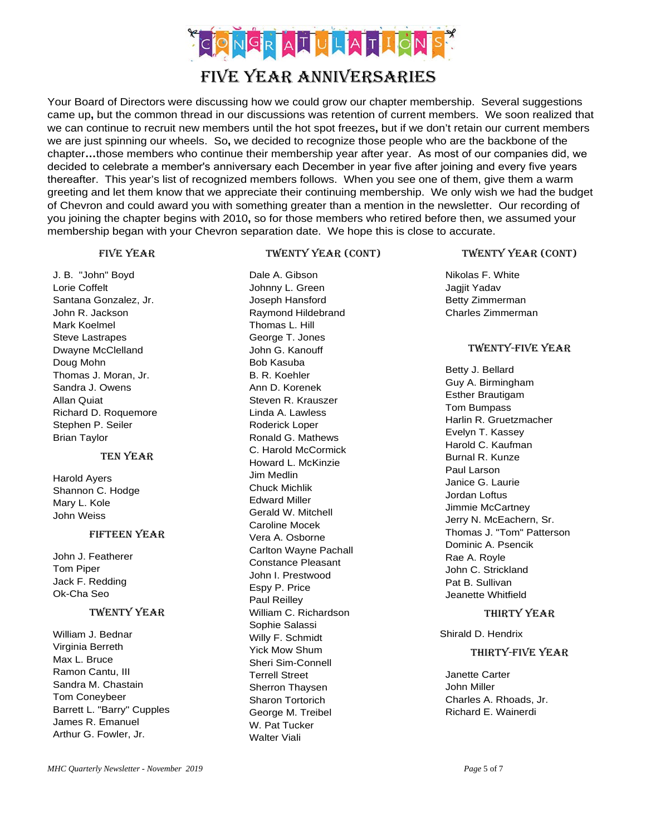

### Your Board of Directors were discussing how we could grow our chapter membership. Several suggestions came up**,** but the common thread in our discussions was retention of current members. We soon realized that we can continue to recruit new members until the hot spot freezes**,** but if we don't retain our current members we are just spinning our wheels. So**,** we decided to recognize those people who are the backbone of the chapter**…**those members who continue their membership year after year. As most of our companies did, we decided to celebrate a member's anniversary each December in year five after joining and every five years thereafter. This year's list of recognized members follows. When you see one of them, give them a warm greeting and let them know that we appreciate their continuing membership. We only wish we had the budget of Chevron and could award you with something greater than a mention in the newsletter. Our recording of you joining the chapter begins with 2010**,** so for those members who retired before then, we assumed your membership began with your Chevron separation date. We hope this is close to accurate.

### Five year

### Twenty Year (cont)

Dale A. Gibson Johnny L. Green

J. B. "John" Boyd Lorie Coffelt Santana Gonzalez, Jr. John R. Jackson Mark Koelmel Steve Lastrapes Dwayne McClelland Doug Mohn Thomas J. Moran, Jr. Sandra J. Owens Allan Quiat Richard D. Roquemore Stephen P. Seiler Brian Taylor

#### Ten Year

Harold Ayers Shannon C. Hodge Mary L. Kole John Weiss

#### Fifteen year

John J. Featherer Tom Piper Jack F. Redding Ok-Cha Seo

### Twenty year

William J. Bednar Virginia Berreth Max L. Bruce Ramon Cantu, III Sandra M. Chastain Tom Coneybeer Barrett L. "Barry" Cupples James R. Emanuel Arthur G. Fowler, Jr.

Joseph Hansford Raymond Hildebrand Thomas L. Hill George T. Jones John G. Kanouff Bob Kasuba B. R. Koehler Ann D. Korenek Steven R. Krauszer Linda A. Lawless Roderick Loper Ronald G. Mathews C. Harold McCormick Howard L. McKinzie Jim Medlin Chuck Michlik Edward Miller Gerald W. Mitchell Caroline Mocek Vera A. Osborne Carlton Wayne Pachall Constance Pleasant John I. Prestwood Espy P. Price Paul Reilley William C. Richardson Sophie Salassi Willy F. Schmidt Yick Mow Shum Sheri Sim-Connell Terrell Street Sherron Thaysen Sharon Tortorich George M. Treibel W. Pat Tucker Walter Viali

#### Twenty year (cont)

Nikolas F. White Jagjit Yadav Betty Zimmerman Charles Zimmerman

### Twenty-five year

Betty J. Bellard Guy A. Birmingham Esther Brautigam Tom Bumpass Harlin R. Gruetzmacher Evelyn T. Kassey Harold C. Kaufman Burnal R. Kunze Paul Larson Janice G. Laurie Jordan Loftus Jimmie McCartney Jerry N. McEachern, Sr. Thomas J. "Tom" Patterson Dominic A. Psencik Rae A. Royle John C. Strickland Pat B. Sullivan Jeanette Whitfield

#### Thirty Year

Shirald D. Hendrix

#### Thirty-five year

Janette Carter John Miller Charles A. Rhoads, Jr. Richard E. Wainerdi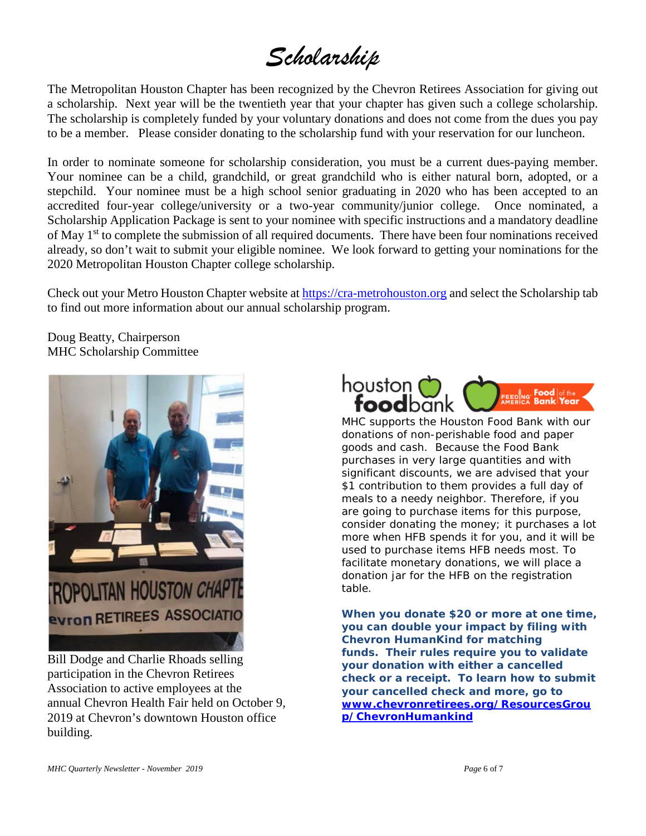# *Scholarship*

The Metropolitan Houston Chapter has been recognized by the Chevron Retirees Association for giving out a scholarship. Next year will be the twentieth year that your chapter has given such a college scholarship. The scholarship is completely funded by your voluntary donations and does not come from the dues you pay to be a member. Please consider donating to the scholarship fund with your reservation for our luncheon.

In order to nominate someone for scholarship consideration, you must be a current dues-paying member. Your nominee can be a child, grandchild, or great grandchild who is either natural born, adopted, or a stepchild. Your nominee must be a high school senior graduating in 2020 who has been accepted to an accredited four-year college/university or a two-year community/junior college. Once nominated, a Scholarship Application Package is sent to your nominee with specific instructions and a mandatory deadline of May 1<sup>st</sup> to complete the submission of all required documents. There have been four nominations received already, so don't wait to submit your eligible nominee. We look forward to getting your nominations for the 2020 Metropolitan Houston Chapter college scholarship.

Check out your Metro Houston Chapter website a[t https://cra-metrohouston.org](https://cra-metrohouston.org/) and select the Scholarship tab to find out more information about our annual scholarship program.

Doug Beatty, Chairperson MHC Scholarship Committee



Bill Dodge and Charlie Rhoads selling participation in the Chevron Retirees Association to active employees at the annual Chevron Health Fair held on October 9, 2019 at Chevron's downtown Houston office building.



MHC supports the Houston Food Bank with our donations of non-perishable food and paper goods and cash. Because the Food Bank purchases in very large quantities and with significant discounts, we are advised that your \$1 contribution to them provides a full day of meals to a needy neighbor. Therefore, if you are going to purchase items for this purpose, consider donating the money; it purchases a lot more when HFB spends it for you, and it will be used to purchase items HFB needs most. To facilitate monetary donations, we will place a donation jar for the HFB on the registration table.

**When you donate \$20 or more at one time, you can double your impact by filing with Chevron HumanKind for matching funds. Their rules require you to validate your donation with either a cancelled check or a receipt. To learn how to submit your cancelled check and more, go to [www.chevronretirees.org/ResourcesGrou](http://www.chevronretirees.org/ResourcesGroup/ChevronHumankind) [p/ChevronHumankind](http://www.chevronretirees.org/ResourcesGroup/ChevronHumankind)**